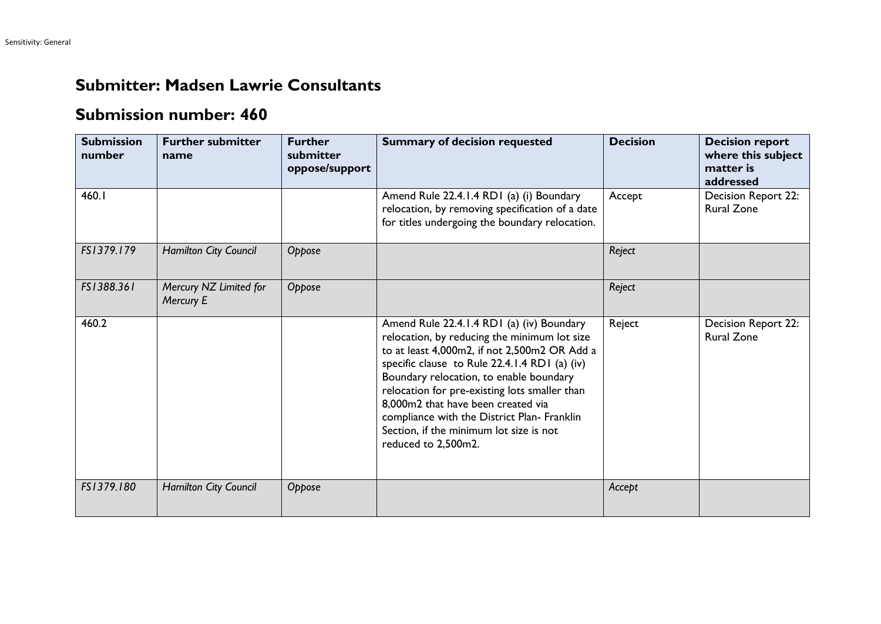## **Submitter: Madsen Lawrie Consultants**

## **Submission number: 460**

| <b>Submission</b><br>number | <b>Further submitter</b><br>name    | <b>Further</b><br>submitter<br>oppose/support | <b>Summary of decision requested</b>                                                                                                                                                                                                                                                                                                                                                                                                          | <b>Decision</b> | <b>Decision report</b><br>where this subject<br>matter is<br>addressed |
|-----------------------------|-------------------------------------|-----------------------------------------------|-----------------------------------------------------------------------------------------------------------------------------------------------------------------------------------------------------------------------------------------------------------------------------------------------------------------------------------------------------------------------------------------------------------------------------------------------|-----------------|------------------------------------------------------------------------|
| 460.1                       |                                     |                                               | Amend Rule 22.4.1.4 RD1 (a) (i) Boundary<br>relocation, by removing specification of a date<br>for titles undergoing the boundary relocation.                                                                                                                                                                                                                                                                                                 | Accept          | Decision Report 22:<br><b>Rural Zone</b>                               |
| FS1379.179                  | Hamilton City Council               | Oppose                                        |                                                                                                                                                                                                                                                                                                                                                                                                                                               | Reject          |                                                                        |
| FS1388.361                  | Mercury NZ Limited for<br>Mercury E | Oppose                                        |                                                                                                                                                                                                                                                                                                                                                                                                                                               | Reject          |                                                                        |
| 460.2                       |                                     |                                               | Amend Rule 22.4.1.4 RD1 (a) (iv) Boundary<br>relocation, by reducing the minimum lot size<br>to at least 4,000m2, if not 2,500m2 OR Add a<br>specific clause to Rule 22.4.1.4 RD1 (a) (iv)<br>Boundary relocation, to enable boundary<br>relocation for pre-existing lots smaller than<br>8,000m2 that have been created via<br>compliance with the District Plan- Franklin<br>Section, if the minimum lot size is not<br>reduced to 2,500m2. | Reject          | Decision Report 22:<br><b>Rural Zone</b>                               |
| FS1379.180                  | <b>Hamilton City Council</b>        | Oppose                                        |                                                                                                                                                                                                                                                                                                                                                                                                                                               | Accept          |                                                                        |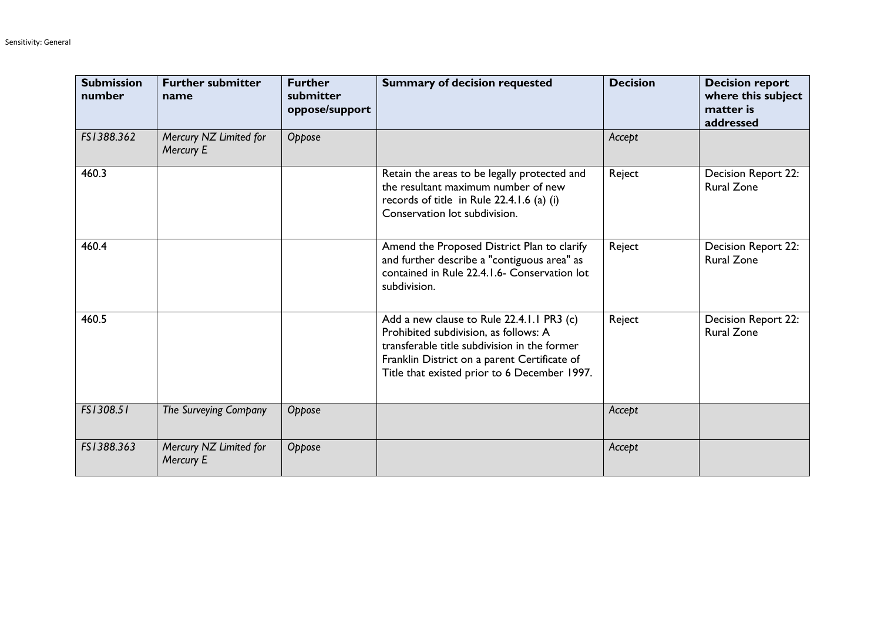| <b>Submission</b><br>number | <b>Further submitter</b><br>name    | <b>Further</b><br>submitter<br>oppose/support | <b>Summary of decision requested</b>                                                                                                                                                                                               | <b>Decision</b> | <b>Decision report</b><br>where this subject<br>matter is<br>addressed |
|-----------------------------|-------------------------------------|-----------------------------------------------|------------------------------------------------------------------------------------------------------------------------------------------------------------------------------------------------------------------------------------|-----------------|------------------------------------------------------------------------|
| FS1388.362                  | Mercury NZ Limited for<br>Mercury E | Oppose                                        |                                                                                                                                                                                                                                    | Accept          |                                                                        |
| 460.3                       |                                     |                                               | Retain the areas to be legally protected and<br>the resultant maximum number of new<br>records of title in Rule 22.4.1.6 (a) (i)<br>Conservation lot subdivision.                                                                  | Reject          | Decision Report 22:<br><b>Rural Zone</b>                               |
| 460.4                       |                                     |                                               | Amend the Proposed District Plan to clarify<br>and further describe a "contiguous area" as<br>contained in Rule 22.4.1.6- Conservation lot<br>subdivision.                                                                         | Reject          | Decision Report 22:<br><b>Rural Zone</b>                               |
| 460.5                       |                                     |                                               | Add a new clause to Rule 22.4.1.1 PR3 (c)<br>Prohibited subdivision, as follows: A<br>transferable title subdivision in the former<br>Franklin District on a parent Certificate of<br>Title that existed prior to 6 December 1997. | Reject          | Decision Report 22:<br><b>Rural Zone</b>                               |
| FS1308.51                   | The Surveying Company               | Oppose                                        |                                                                                                                                                                                                                                    | Accept          |                                                                        |
| FS1388.363                  | Mercury NZ Limited for<br>Mercury E | Oppose                                        |                                                                                                                                                                                                                                    | Accept          |                                                                        |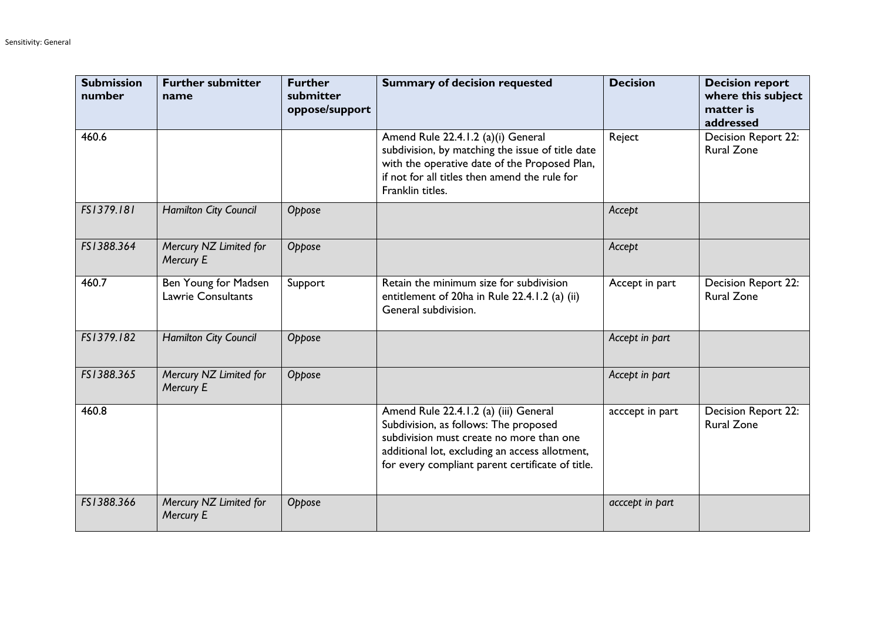| <b>Submission</b><br>number | <b>Further submitter</b><br>name                  | <b>Further</b><br>submitter<br>oppose/support | <b>Summary of decision requested</b>                                                                                                                                                                                             | <b>Decision</b> | <b>Decision report</b><br>where this subject<br>matter is<br>addressed |
|-----------------------------|---------------------------------------------------|-----------------------------------------------|----------------------------------------------------------------------------------------------------------------------------------------------------------------------------------------------------------------------------------|-----------------|------------------------------------------------------------------------|
| 460.6                       |                                                   |                                               | Amend Rule 22.4.1.2 (a)(i) General<br>subdivision, by matching the issue of title date<br>with the operative date of the Proposed Plan,<br>if not for all titles then amend the rule for<br>Franklin titles.                     | Reject          | Decision Report 22:<br><b>Rural Zone</b>                               |
| FS1379.181                  | Hamilton City Council                             | Oppose                                        |                                                                                                                                                                                                                                  | Accept          |                                                                        |
| FS1388.364                  | Mercury NZ Limited for<br>Mercury E               | Oppose                                        |                                                                                                                                                                                                                                  | Accept          |                                                                        |
| 460.7                       | Ben Young for Madsen<br><b>Lawrie Consultants</b> | Support                                       | Retain the minimum size for subdivision<br>entitlement of 20ha in Rule 22.4.1.2 (a) (ii)<br>General subdivision.                                                                                                                 | Accept in part  | <b>Decision Report 22:</b><br><b>Rural Zone</b>                        |
| FS1379.182                  | Hamilton City Council                             | Oppose                                        |                                                                                                                                                                                                                                  | Accept in part  |                                                                        |
| FS1388.365                  | Mercury NZ Limited for<br>Mercury E               | Oppose                                        |                                                                                                                                                                                                                                  | Accept in part  |                                                                        |
| 460.8                       |                                                   |                                               | Amend Rule 22.4.1.2 (a) (iii) General<br>Subdivision, as follows: The proposed<br>subdivision must create no more than one<br>additional lot, excluding an access allotment,<br>for every compliant parent certificate of title. | acccept in part | Decision Report 22:<br><b>Rural Zone</b>                               |
| FS1388.366                  | Mercury NZ Limited for<br>Mercury E               | Oppose                                        |                                                                                                                                                                                                                                  | acccept in part |                                                                        |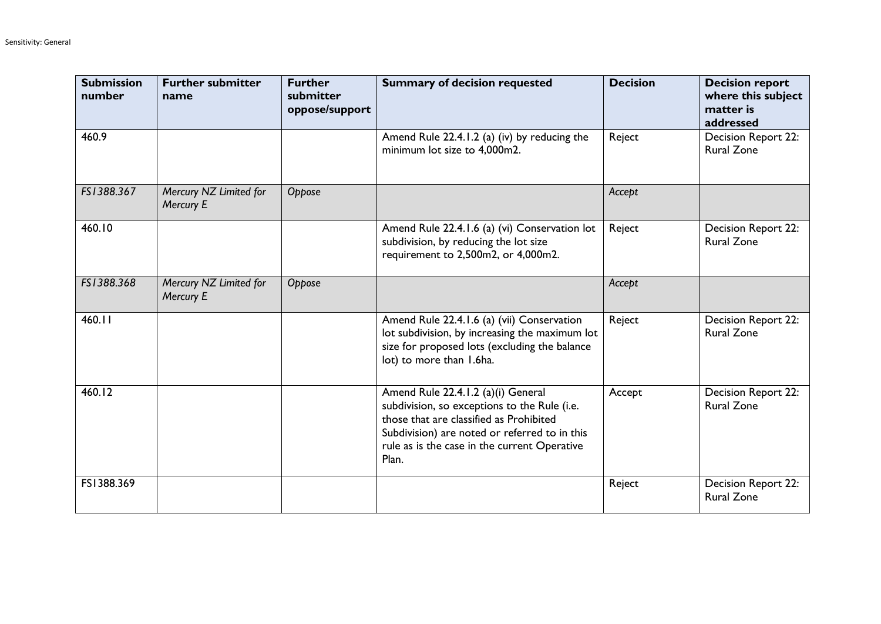| <b>Submission</b><br>number | <b>Further submitter</b><br>name           | <b>Further</b><br>submitter<br>oppose/support | <b>Summary of decision requested</b>                                                                                                                                                                                                    | <b>Decision</b> | <b>Decision report</b><br>where this subject<br>matter is<br>addressed |
|-----------------------------|--------------------------------------------|-----------------------------------------------|-----------------------------------------------------------------------------------------------------------------------------------------------------------------------------------------------------------------------------------------|-----------------|------------------------------------------------------------------------|
| 460.9                       |                                            |                                               | Amend Rule 22.4.1.2 (a) (iv) by reducing the<br>minimum lot size to 4,000m2.                                                                                                                                                            | Reject          | <b>Decision Report 22:</b><br><b>Rural Zone</b>                        |
| FS1388.367                  | Mercury NZ Limited for<br>Mercury E        | Oppose                                        |                                                                                                                                                                                                                                         | Accept          |                                                                        |
| 460.10                      |                                            |                                               | Amend Rule 22.4.1.6 (a) (vi) Conservation lot<br>subdivision, by reducing the lot size<br>requirement to 2,500m2, or 4,000m2.                                                                                                           | Reject          | <b>Decision Report 22:</b><br><b>Rural Zone</b>                        |
| FS1388.368                  | Mercury NZ Limited for<br><b>Mercury E</b> | Oppose                                        |                                                                                                                                                                                                                                         | Accept          |                                                                        |
| 460.11                      |                                            |                                               | Amend Rule 22.4.1.6 (a) (vii) Conservation<br>lot subdivision, by increasing the maximum lot<br>size for proposed lots (excluding the balance<br>lot) to more than 1.6ha.                                                               | Reject          | Decision Report 22:<br><b>Rural Zone</b>                               |
| 460.12                      |                                            |                                               | Amend Rule 22.4.1.2 (a)(i) General<br>subdivision, so exceptions to the Rule (i.e.<br>those that are classified as Prohibited<br>Subdivision) are noted or referred to in this<br>rule as is the case in the current Operative<br>Plan. | Accept          | <b>Decision Report 22:</b><br><b>Rural Zone</b>                        |
| FS1388.369                  |                                            |                                               |                                                                                                                                                                                                                                         | Reject          | <b>Decision Report 22:</b><br><b>Rural Zone</b>                        |